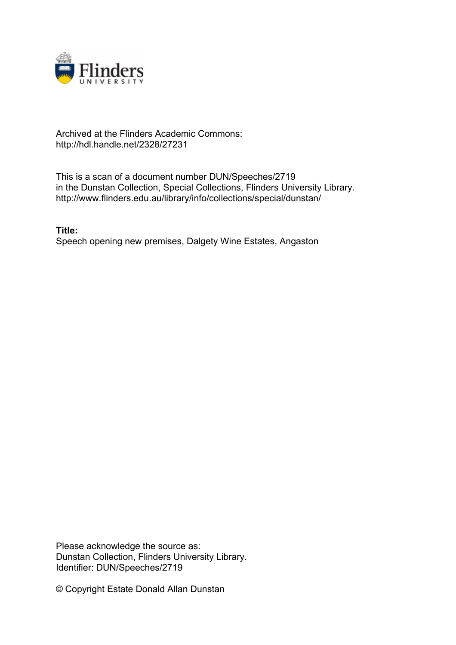

## Archived at the Flinders Academic Commons: http://hdl.handle.net/2328/27231

This is a scan of a document number DUN/Speeches/2719 in the Dunstan Collection, Special Collections, Flinders University Library. http://www.flinders.edu.au/library/info/collections/special/dunstan/

**Title:** Speech opening new premises, Dalgety Wine Estates, Angaston

Please acknowledge the source as: Dunstan Collection, Flinders University Library. Identifier: DUN/Speeches/2719

© Copyright Estate Donald Allan Dunstan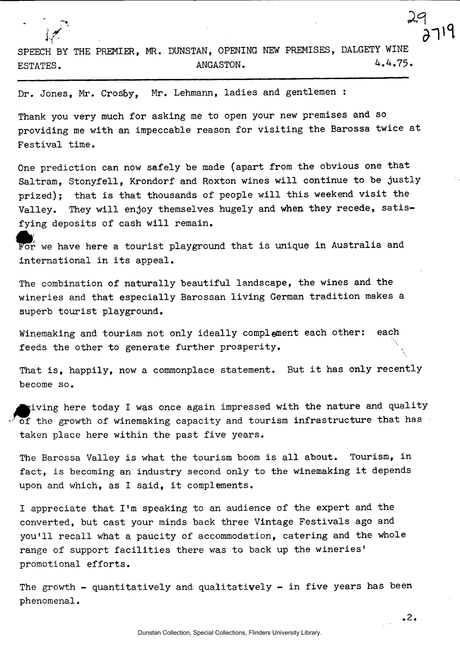SPEECH BY THE PREMIER, MR. DUNSTAN, OPENING NEW PREMISES, DALGETY WINE ESTATES. 4.4.75

Dr. Jones, Mr. Crosby, Mr. Lehmann, ladies and gentlemen :

Thank you very much for asking me to open your new premises and so providing me with an impeccable reason for visiting the Barossa twice at Festival time.

One prediction can now safely be made (apart from the obvious one that Saltram, Stonyfell, Krondorf and Roxton wines will continue to be justly prized); that is that thousands of people will this weekend visit the Valley. They will enjoy themselves hugely and when they recede, satisfying deposits of cash will remain.

 $\bullet$  $\frac{1}{2}$  for we have the tourist playground that is unique in  $\frac{1}{2}$ international in its appeal.

The combination of naturally beautiful landscape, the wines and the wineries and that especially Barossan living German tradition makes a superb tourist playground.

Winemaking and tourism not only ideally complement each other: each feeds the other to generate further prosperity.

That is, happily, now a commonplace statement. But it has only recently become so.

giving here today I was once again impressed with the nature and quality - of the growth of winemaking capacity and tourism infrastructure that has taken place here within the past five years.

The Barossa Valley is what the tourism boom is all about. Tourism, in fact, is becoming an industry second only to the winemaking it depends upon and which, as I said, it complements.

I appreciate that I'm speaking to an audience of the expert and the converted, but cast your minds back three Vintage Festivals ago and you'll recall what a paucity of accommodation, catering and the whole range of support facilities there was to back up the wineries' promotional efforts.

The growth  $-$  quantitatively and qualitatively  $-$  in five years has been phenomenal.

**2**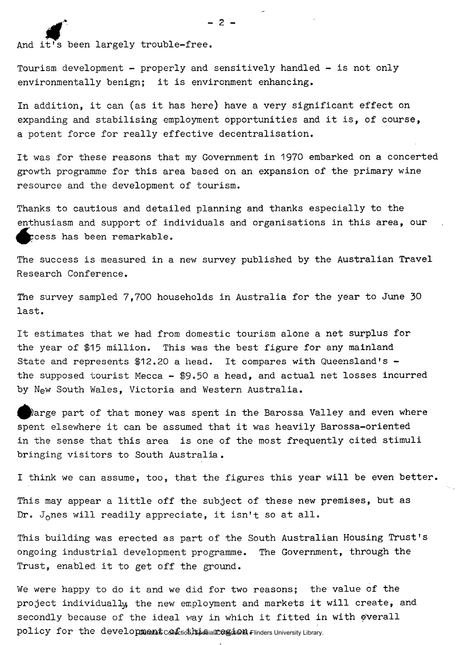And it's been largely trouble-free.

Tourism development - properly and sensitively handled - is not only environmentally benign; it is environment enhancing.

In addition, it can (as it has here) have a very significant effect on expanding and stabilising employment opportunities and it is, of course, a potent force for really effective decentralisation.

It was for these reasons that my Government in 1970 embarked on a concerted growth programme for this area based on an expansion of the primary wine resource and the development of tourism.

Thanks to cautious and detailed planning and thanks especially to the enthusiasm and support of individuals and organisations in this area, our cess has been remarkable.

The success is measured in a new survey published by the Australian Travel Research Conference.

The survey sampled 7,700 households in Australia for the year to June 30 last.

It estimates that we had from domestic tourism alone a net surplus for the year of \$15 million. This was the best figure for any mainland State and represents \$12.20 a head. It compares with Queensland's the supposed tourist Mecca - \$9.50 a head, and actual net losses incurred by New South Wales, Victoria and Western Australia.

^^)arge part of that money was spent in the Barossa Valley and even where spent elsewhere it can be assumed that it was heavily Barossa-oriented in the sense that this area is one of the most frequently cited stimuli bringing visitors to South Australia .

I think we can assume, too, that the figures this year will be even better.

This may appear a little off the subject of these new premises, but as Dr. J<sub>o</sub>nes will readily appreciate, it isn't so at all.

This building was erected as part of the South Australian Housing Trust's ongoing industrial development programme. The Government, through the Trust, enabled it to get off the ground.

We were happy to do it and we did for two reasons; the value of the project individually, the new employment and markets it will create, and secondly because of the ideal way in which it fitted in with overall policy for the development confiding permanent of thinders University Library.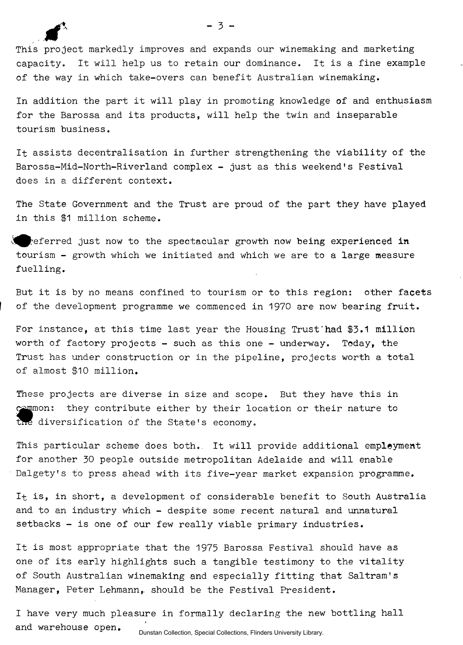This project markedly improves and expands our winemaking and marketing capacity. It will help us to retain our dominance. It is a fine example of the way in which take-overs can benefit Australian winemaking.

In addition the part it will play in promoting knowledge of and enthusiasm for the Barossa and its products, will help the twin and inseparable tourism business.

It assists decentralisation in further strengthening the viability of the Barossa-Mid-North-Riverland complex - just as this weekend's Festival does in a different context.

The State Government and the Trust are proud of the part they have played in this \$1 million scheme.

 $\lambda$  referred just now to the spectacular growth now being experienced in tourism - growth which we initiated and which we are to a large measure fuelling.

But it is by no means confined to tourism or to this region: other facets of the development programme we commenced in 1970 are now bearing fruit.

For instance, at this time last year the Housing Trust'had \$3.1 million worth of factory projects - such as this one - underway. Today, the Trust has under construction or in the pipeline, projects worth a total of almost \$10 million.

These projects are diverse in size and scope. But they have this in common: they contribute either by their location or their nature to the diversification of the State's economy.

This particular scheme does both. It will provide additional employment for another 30 people outside metropolitan Adelaide and will enable Dalgety's to press ahead with its five-year market expansion programme.

It is, in short, a development of considerable benefit to South Australia and to an industry which - despite some recent natural and unnatural setbacks - is one of our few really viable primary industries.

It is most appropriate that the 1975 Barossa Festival should have as one of its early highlights such a tangible testimony to the vitality of South Australian winemaking and especially fitting that Saltram's Manager, Peter Lehmann, should be the Festival President.

I have very much pleasure in formally declaring the new bottling hall and warehouse open.

Dunstan Collection, Special Collections, Flinders University Library.

 $-3-$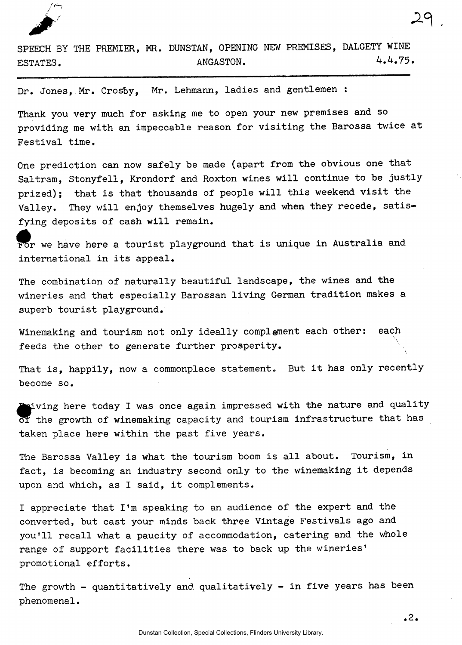

SPEECH BY THE PREMIER, MR. DUNSTAN, OPENING NEW PREMISES, DALGETY WINE ESTATES. 4.4.75.

Dr. Jones,.Mr. Crosby, Mr. Lehmann, ladies and gentlemen :

Thank you very much for asking me to open your new premises and so providing me with an impeccable reason for visiting the Barossa twice at Festival time.

One prediction can now safely be made (apart from the obvious one that Saltram, Stonyfell, Krondorf and Roxton wines will continue to be justly prized); that is that thousands of people will this weekend visit the Valley. They will enjoy themselves hugely and when they recede, satisfying deposits of cash will remain.

For we have here a tourist playground that is unique in Australia and international in its appeal.

The combination of naturally beautiful landscape, the wines and the wineries and that especially Barossan living German tradition makes a superb tourist playground.

Winemaking and tourism not only ideally complement each other: each feeds the other to generate further prosperity.

That is, happily, now a commonplace statement. But it has only recently become so.

 $\mathbf s$ iving here today I was once again impressed with the nature and quality of the growth of winemaking capacity and tourism infrastructure that has taken place here within the past five years.

The Barossa Valley is what the tourism boom is all about. Tourism, in fact, is becoming an industry second only to the winemaking it depends upon and which, as I said, it complements.

I appreciate that I'm speaking to an audience of the expert and the converted, but cast your minds back three Vintage Festivals ago and you'll recall what a paucity of accommodation, catering and the whole range of support facilities there was to back up the wineries' promotional efforts.

The growth - quantitatively and qualitatively - in five years has been phenomenal.

**.2.**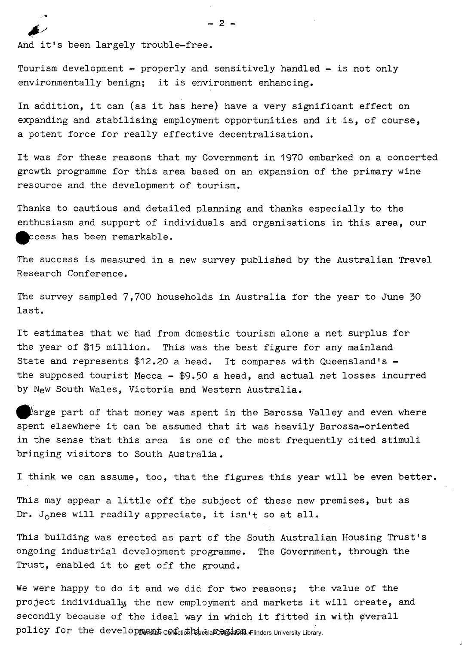And it's been largely trouble-free.

Tourism development - properly and sensitively handled - is not only environmentally benign; it is environment enhancing.

In addition, it can (as it has here) have a very significant effect on expanding and stabilising employment opportunities and it is, of course, a potent force for really effective decentralisation.

It was for these reasons that my Government in 1970 embarked on a concerted growth programme for this area based on an expansion of the primary wine resource and the development of tourism.

Thanks to cautious and detailed planning and thanks especially to the enthusiasm and support of individuals and organisations in this area, our ccess has been remarkable.

The success is measured in a new survey published by the Australian Travel Research Conference.

The survey sampled 7,700 households in Australia for the year to June 30 last.

It estimates that we had from domestic tourism alone a net surplus for the year of \$15 million. This was the best figure for any mainland State and represents \$12.20 a head. It compares with Queensland's the supposed tourist Mecca  $-$  \$9.50 a head, and actual net losses incurred by New South Wales, Victoria and Western Australia.

large part of that money was spent in the Barossa Valley and even where spent elsewhere it can be assumed that it was heavily Barossa-oriented in the sense that this area is one of the most frequently cited stimuli bringing visitors to South Australia.

I think we can assume, too, that the figures this year will be even better.

This may appear a little off the subject of these new premises, but as Dr. J<sub>o</sub>nes will readily appreciate, it isn't so at all.

This building was erected as part of the South Australian Housing Trust's ongoing industrial development programme. The Government, through the Trust, enabled it to get off the ground.

We were happy to do it and we did for two reasons; the value of the project individually the new employment and markets it will create, and secondly because of the ideal way in which it fitted in with overall policy for the development confiction, Bpecial Confidences University Library.

j